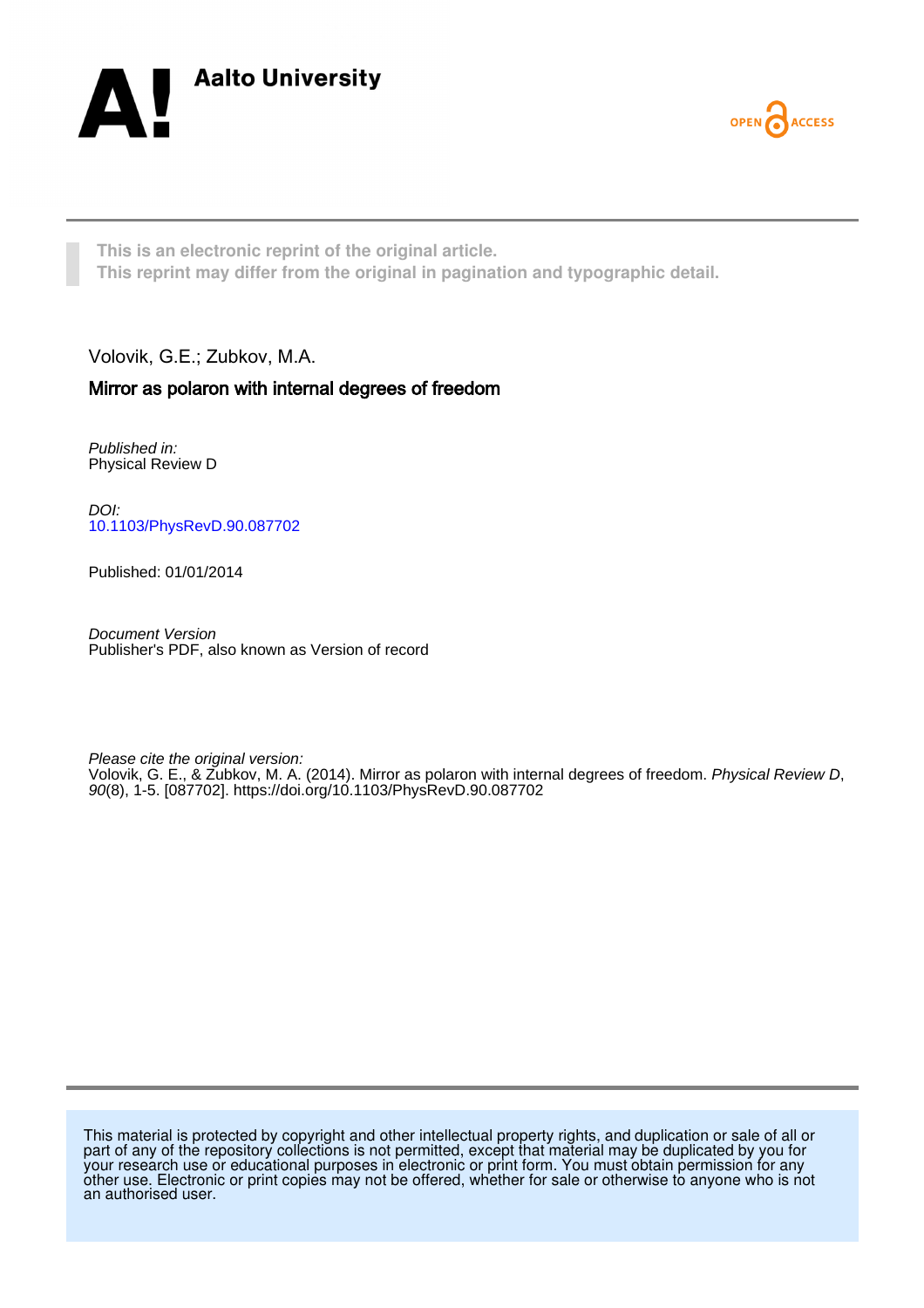



**This is an electronic reprint of the original article. This reprint may differ from the original in pagination and typographic detail.**

Volovik, G.E.; Zubkov, M.A.

# Mirror as polaron with internal degrees of freedom

Published in: Physical Review D

DOI: [10.1103/PhysRevD.90.087702](https://doi.org/10.1103/PhysRevD.90.087702)

Published: 01/01/2014

Document Version Publisher's PDF, also known as Version of record

Please cite the original version: Volovik, G. E., & Zubkov, M. A. (2014). Mirror as polaron with internal degrees of freedom. Physical Review D, 90(8), 1-5. [087702].<https://doi.org/10.1103/PhysRevD.90.087702>

This material is protected by copyright and other intellectual property rights, and duplication or sale of all or part of any of the repository collections is not permitted, except that material may be duplicated by you for your research use or educational purposes in electronic or print form. You must obtain permission for any other use. Electronic or print copies may not be offered, whether for sale or otherwise to anyone who is not an authorised user.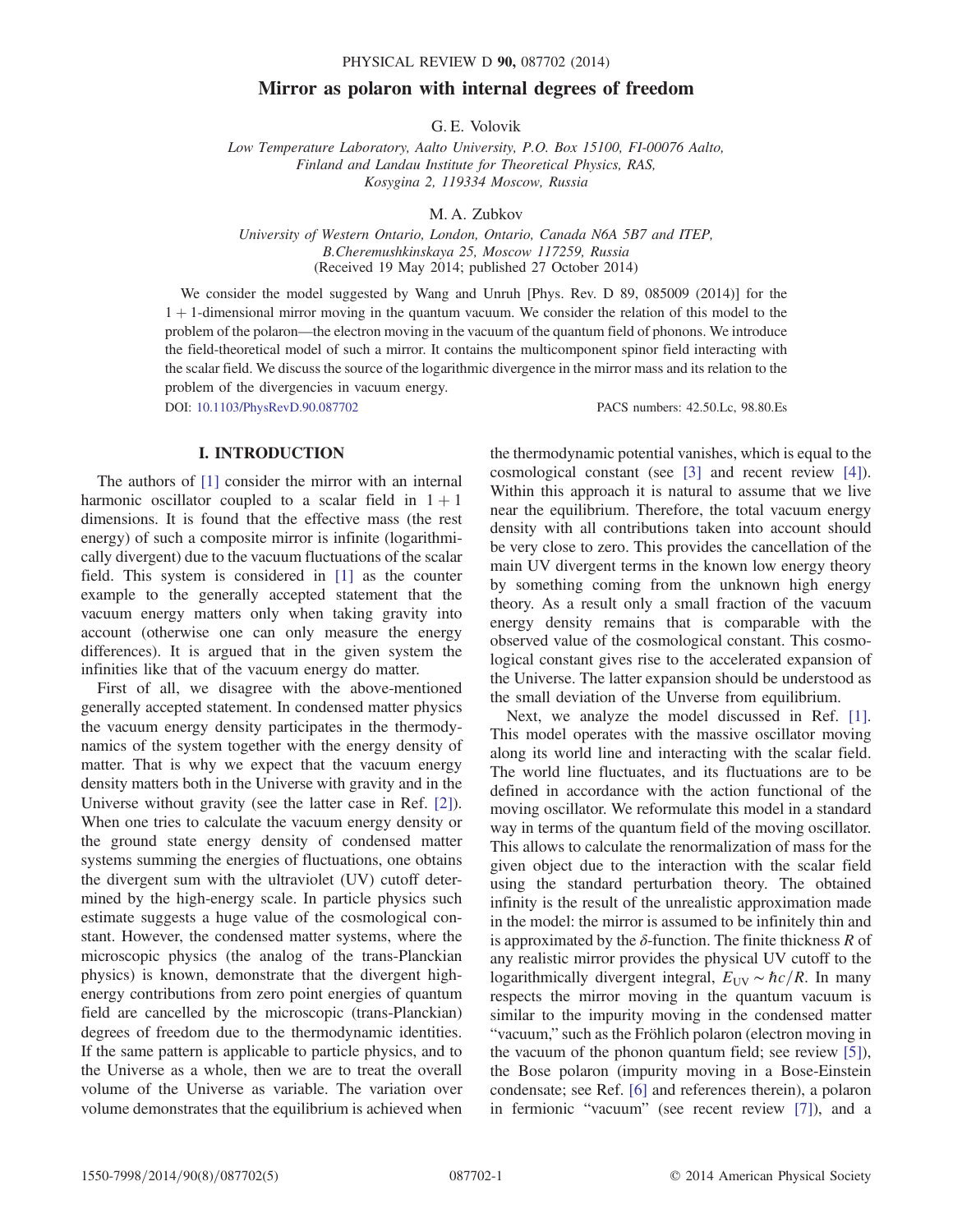# Mirror as polaron with internal degrees of freedom

G. E. Volovik

Low Temperature Laboratory, Aalto University, P.O. Box 15100, FI-00076 Aalto, Finland and Landau Institute for Theoretical Physics, RAS, Kosygina 2, 119334 Moscow, Russia

M. A. Zubkov

University of Western Ontario, London, Ontario, Canada N6A 5B7 and ITEP, B.Cheremushkinskaya 25, Moscow 117259, Russia (Received 19 May 2014; published 27 October 2014)

We consider the model suggested by Wang and Unruh [Phys. Rev. D 89, 085009 (2014)] for the  $1 + 1$ -dimensional mirror moving in the quantum vacuum. We consider the relation of this model to the problem of the polaron—the electron moving in the vacuum of the quantum field of phonons. We introduce the field-theoretical model of such a mirror. It contains the multicomponent spinor field interacting with the scalar field. We discuss the source of the logarithmic divergence in the mirror mass and its relation to the problem of the divergencies in vacuum energy.

DOI: [10.1103/PhysRevD.90.087702](http://dx.doi.org/10.1103/PhysRevD.90.087702) PACS numbers: 42.50.Lc, 98.80.Es

# I. INTRODUCTION

The authors of [\[1\]](#page-5-0) consider the mirror with an internal harmonic oscillator coupled to a scalar field in  $1 + 1$ dimensions. It is found that the effective mass (the rest energy) of such a composite mirror is infinite (logarithmically divergent) due to the vacuum fluctuations of the scalar field. This system is considered in [\[1\]](#page-5-0) as the counter example to the generally accepted statement that the vacuum energy matters only when taking gravity into account (otherwise one can only measure the energy differences). It is argued that in the given system the infinities like that of the vacuum energy do matter.

First of all, we disagree with the above-mentioned generally accepted statement. In condensed matter physics the vacuum energy density participates in the thermodynamics of the system together with the energy density of matter. That is why we expect that the vacuum energy density matters both in the Universe with gravity and in the Universe without gravity (see the latter case in Ref. [\[2\]](#page-5-1)). When one tries to calculate the vacuum energy density or the ground state energy density of condensed matter systems summing the energies of fluctuations, one obtains the divergent sum with the ultraviolet (UV) cutoff determined by the high-energy scale. In particle physics such estimate suggests a huge value of the cosmological constant. However, the condensed matter systems, where the microscopic physics (the analog of the trans-Planckian physics) is known, demonstrate that the divergent highenergy contributions from zero point energies of quantum field are cancelled by the microscopic (trans-Planckian) degrees of freedom due to the thermodynamic identities. If the same pattern is applicable to particle physics, and to the Universe as a whole, then we are to treat the overall volume of the Universe as variable. The variation over volume demonstrates that the equilibrium is achieved when

the thermodynamic potential vanishes, which is equal to the cosmological constant (see [\[3\]](#page-5-2) and recent review [\[4\]](#page-5-3)). Within this approach it is natural to assume that we live near the equilibrium. Therefore, the total vacuum energy density with all contributions taken into account should be very close to zero. This provides the cancellation of the main UV divergent terms in the known low energy theory by something coming from the unknown high energy theory. As a result only a small fraction of the vacuum energy density remains that is comparable with the observed value of the cosmological constant. This cosmological constant gives rise to the accelerated expansion of the Universe. The latter expansion should be understood as the small deviation of the Unverse from equilibrium.

Next, we analyze the model discussed in Ref. [\[1\]](#page-5-0). This model operates with the massive oscillator moving along its world line and interacting with the scalar field. The world line fluctuates, and its fluctuations are to be defined in accordance with the action functional of the moving oscillator. We reformulate this model in a standard way in terms of the quantum field of the moving oscillator. This allows to calculate the renormalization of mass for the given object due to the interaction with the scalar field using the standard perturbation theory. The obtained infinity is the result of the unrealistic approximation made in the model: the mirror is assumed to be infinitely thin and is approximated by the  $\delta$ -function. The finite thickness R of any realistic mirror provides the physical UV cutoff to the logarithmically divergent integral,  $E_{UV} \sim \hbar c/R$ . In many respects the mirror moving in the quantum vacuum is similar to the impurity moving in the condensed matter "vacuum," such as the Fröhlich polaron (electron moving in the vacuum of the phonon quantum field; see review [\[5\]](#page-5-4)), the Bose polaron (impurity moving in a Bose-Einstein condensate; see Ref. [\[6\]](#page-5-5) and references therein), a polaron in fermionic "vacuum" (see recent review [\[7\]](#page-5-6)), and a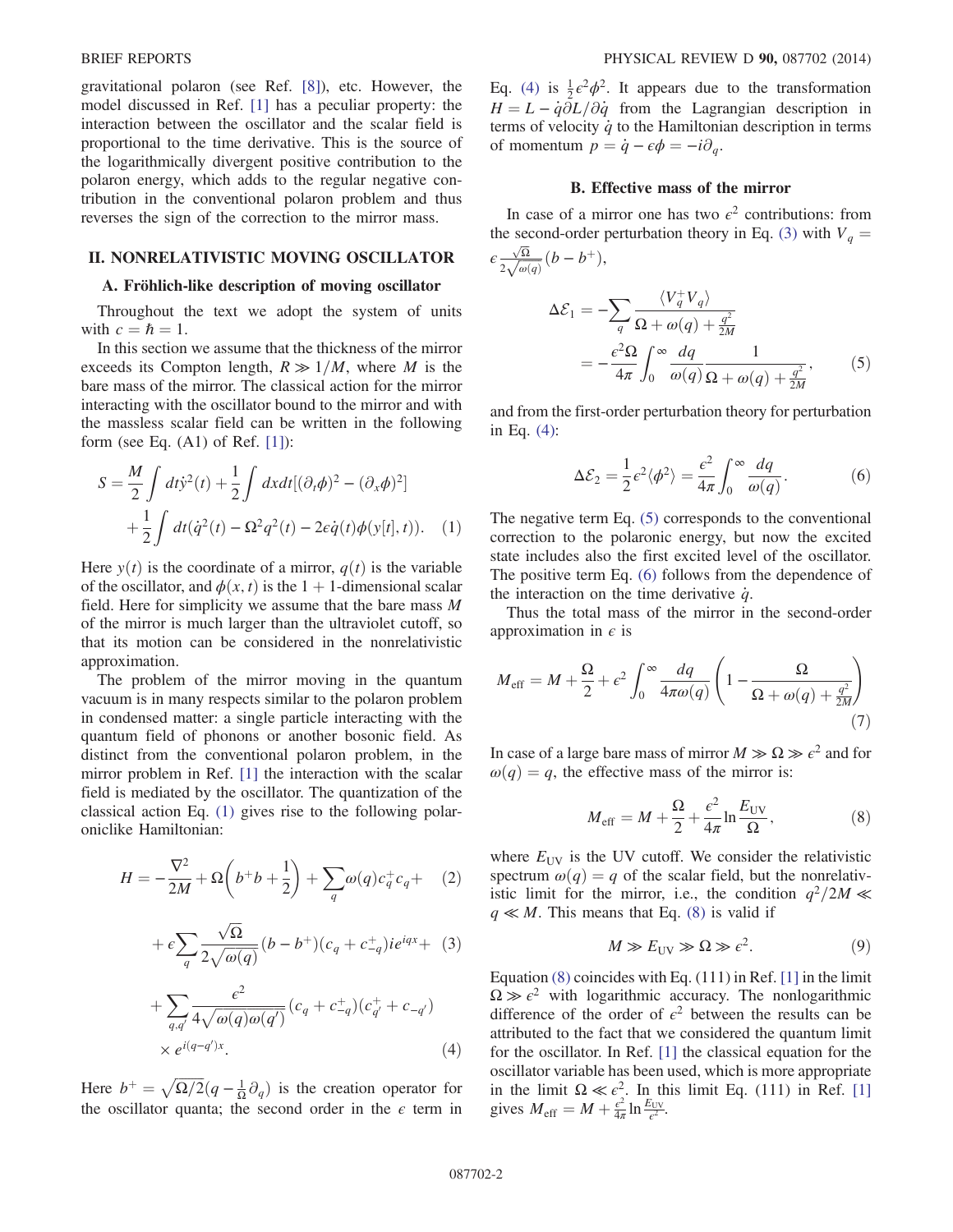gravitational polaron (see Ref. [\[8\]\)](#page-5-7), etc. However, the model discussed in Ref. [\[1\]](#page-5-0) has a peculiar property: the interaction between the oscillator and the scalar field is proportional to the time derivative. This is the source of the logarithmically divergent positive contribution to the polaron energy, which adds to the regular negative contribution in the conventional polaron problem and thus reverses the sign of the correction to the mirror mass.

# II. NONRELATIVISTIC MOVING OSCILLATOR

#### A. Fröhlich-like description of moving oscillator

Throughout the text we adopt the system of units with  $c = \hbar = 1$ .

In this section we assume that the thickness of the mirror exceeds its Compton length,  $R \gg 1/M$ , where M is the bare mass of the mirror. The classical action for the mirror interacting with the oscillator bound to the mirror and with the massless scalar field can be written in the following form (see Eq.  $(A1)$  of Ref.  $[1]$ ):

<span id="page-2-0"></span>
$$
S = \frac{M}{2} \int dt \dot{y}^2(t) + \frac{1}{2} \int dx dt [(\partial_t \phi)^2 - (\partial_x \phi)^2]
$$

$$
+ \frac{1}{2} \int dt (\dot{q}^2(t) - \Omega^2 q^2(t) - 2\epsilon \dot{q}(t)\phi(y[t], t)). \quad (1)
$$

Here  $y(t)$  is the coordinate of a mirror,  $q(t)$  is the variable of the oscillator, and  $\phi(x, t)$  is the 1 + 1-dimensional scalar field. Here for simplicity we assume that the bare mass  $M$ of the mirror is much larger than the ultraviolet cutoff, so that its motion can be considered in the nonrelativistic approximation.

The problem of the mirror moving in the quantum vacuum is in many respects similar to the polaron problem in condensed matter: a single particle interacting with the quantum field of phonons or another bosonic field. As distinct from the conventional polaron problem, in the mirror problem in Ref. [\[1\]](#page-5-0) the interaction with the scalar field is mediated by the oscillator. The quantization of the classical action Eq. [\(1\)](#page-2-0) gives rise to the following polaroniclike Hamiltonian:

<span id="page-2-2"></span>
$$
H = -\frac{\nabla^2}{2M} + \Omega \left( b^+ b + \frac{1}{2} \right) + \sum_q \omega(q) c_q^+ c_q + \quad (2)
$$

$$
+\epsilon\sum_{q}\frac{\sqrt{\Omega}}{2\sqrt{\omega(q)}}(b-b^{+})(c_{q}+c_{-q}^{+})ie^{iqx}+(3)
$$

<span id="page-2-1"></span>+
$$
\sum_{q,q'} \frac{\epsilon^2}{4\sqrt{\omega(q)\omega(q')}} (c_q + c_{-q}^+)(c_{q'}^+ + c_{-q'})
$$
  
×  $e^{i(q-q')x}$ . (4)

Here  $b^+ = \sqrt{\frac{\Omega}{2}}(q - \frac{1}{\Omega} \partial_q)$  is the creation operator for the oscillator quanta; the second order in the  $\epsilon$  term in

Eq. [\(4\)](#page-2-1) is  $\frac{1}{2}e^2\phi^2$ . It appears due to the transformation  $H = L - \dot{q}\partial L/\partial \dot{q}$  from the Lagrangian description in terms of velocity  $\dot{q}$  to the Hamiltonian description in terms of momentum  $p = \dot{q} - \epsilon \phi = -i\partial_q$ .

# B. Effective mass of the mirror

<span id="page-2-6"></span><span id="page-2-3"></span>In case of a mirror one has two  $\epsilon^2$  contributions: from the second-order perturbation theory in Eq. [\(3\)](#page-2-2) with  $V_q =$  $\epsilon \frac{\sqrt{\Omega}}{2}$  $\frac{\sqrt{\Omega}}{2\sqrt{\omega(q)}}(b-b^{+}),$ 

$$
\Delta \mathcal{E}_1 = -\sum_{q} \frac{\langle V_q^+ V_q \rangle}{\Omega + \omega(q) + \frac{q^2}{2M}}
$$
  
= 
$$
-\frac{\epsilon^2 \Omega}{4\pi} \int_0^\infty \frac{dq}{\omega(q)} \frac{1}{\Omega + \omega(q) + \frac{q^2}{2M}},
$$
(5)

<span id="page-2-4"></span>and from the first-order perturbation theory for perturbation in Eq. [\(4\):](#page-2-1)

$$
\Delta \mathcal{E}_2 = \frac{1}{2} \epsilon^2 \langle \phi^2 \rangle = \frac{\epsilon^2}{4\pi} \int_0^\infty \frac{dq}{\omega(q)}.
$$
 (6)

The negative term Eq. [\(5\)](#page-2-3) corresponds to the conventional correction to the polaronic energy, but now the excited state includes also the first excited level of the oscillator. The positive term Eq. [\(6\)](#page-2-4) follows from the dependence of the interaction on the time derivative  $\dot{q}$ .

Thus the total mass of the mirror in the second-order approximation in  $\epsilon$  is

$$
M_{\text{eff}} = M + \frac{\Omega}{2} + \epsilon^2 \int_0^\infty \frac{dq}{4\pi \omega(q)} \left( 1 - \frac{\Omega}{\Omega + \omega(q) + \frac{q^2}{2M}} \right) \tag{7}
$$

<span id="page-2-5"></span>In case of a large bare mass of mirror  $M \gg \Omega \gg \epsilon^2$  and for  $\omega(q) = q$ , the effective mass of the mirror is:

$$
M_{\rm eff} = M + \frac{\Omega}{2} + \frac{\epsilon^2}{4\pi} \ln \frac{E_{\rm UV}}{\Omega},\qquad(8)
$$

where  $E_{UV}$  is the UV cutoff. We consider the relativistic spectrum  $\omega(q) = q$  of the scalar field, but the nonrelativistic limit for the mirror, i.e., the condition  $q^2/2M \ll$  $q \ll M$ . This means that Eq. [\(8\)](#page-2-5) is valid if

$$
M \gg E_{\rm UV} \gg \Omega \gg \epsilon^2. \tag{9}
$$

Equation [\(8\)](#page-2-5) coincides with Eq. (111) in Ref. [\[1\]](#page-5-0) in the limit  $\Omega \gg \epsilon^2$  with logarithmic accuracy. The nonlogarithmic difference of the order of  $\epsilon^2$  between the results can be attributed to the fact that we considered the quantum limit for the oscillator. In Ref. [\[1\]](#page-5-0) the classical equation for the oscillator variable has been used, which is more appropriate in the limit  $\Omega \ll \epsilon^2$ . In this limit Eq. (111) in Ref. [\[1\]](#page-5-0) gives  $M_{\text{eff}} = M + \frac{\epsilon^2}{4\pi} \ln \frac{E_{UV}}{\epsilon^2}$ .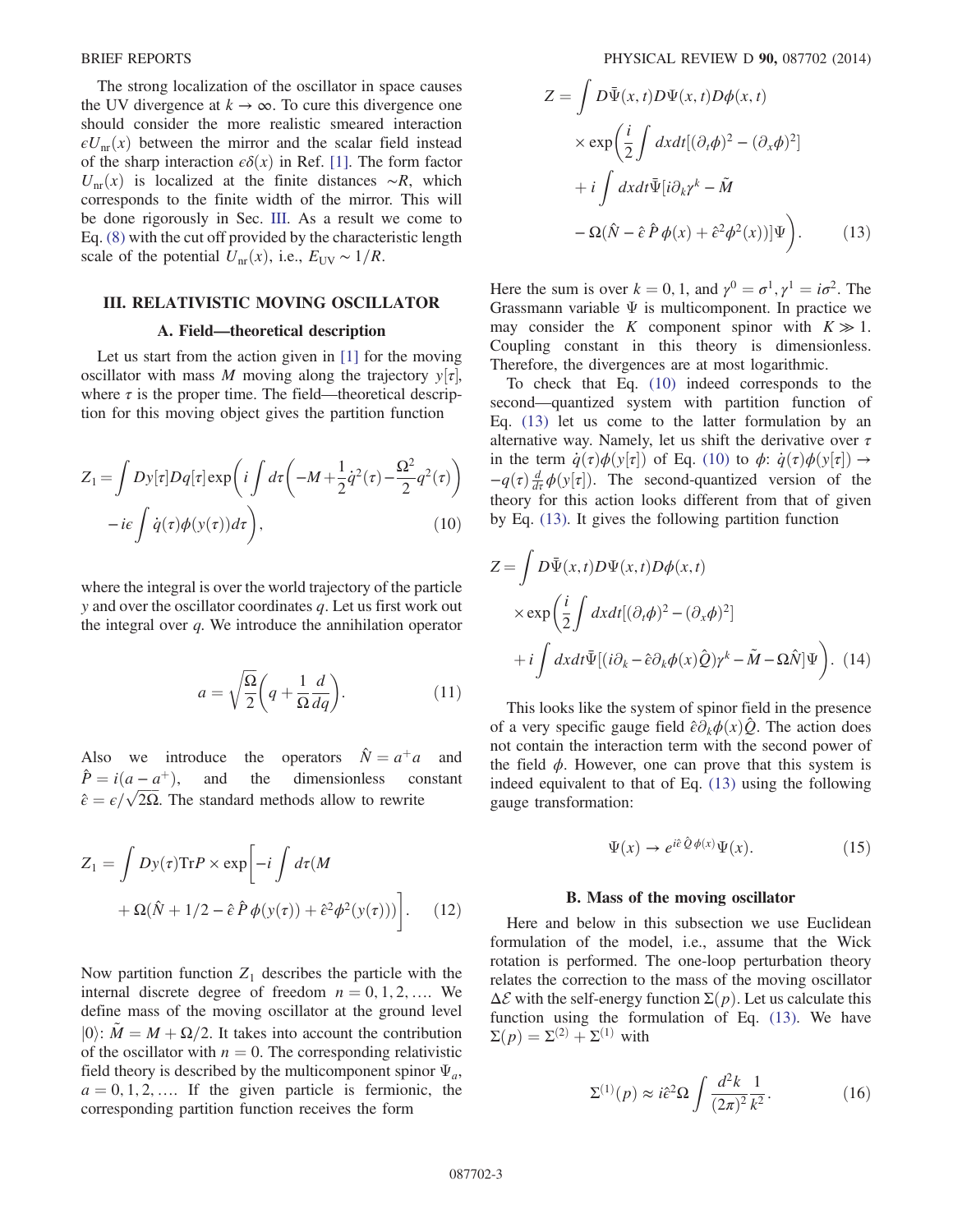The strong localization of the oscillator in space causes the UV divergence at  $k \to \infty$ . To cure this divergence one should consider the more realistic smeared interaction  $\epsilon U_{\text{nr}}(x)$  between the mirror and the scalar field instead of the sharp interaction  $\epsilon \delta(x)$  in Ref. [\[1\].](#page-5-0) The form factor  $U_{\text{nr}}(x)$  is localized at the finite distances ∼R, which corresponds to the finite width of the mirror. This will be done rigorously in Sec. [III](#page-3-0). As a result we come to Eq. [\(8\)](#page-2-5) with the cut off provided by the characteristic length scale of the potential  $U_{\text{nr}}(x)$ , i.e.,  $E_{UV} \sim 1/R$ .

## <span id="page-3-0"></span>III. RELATIVISTIC MOVING OSCILLATOR

#### A. Field—theoretical description

<span id="page-3-1"></span>Let us start from the action given in [\[1\]](#page-5-0) for the moving oscillator with mass M moving along the trajectory  $y[\tau]$ , where  $\tau$  is the proper time. The field—theoretical description for this moving object gives the partition function

$$
Z_1 = \int Dy[\tau]Dq[\tau] \exp\left(i \int d\tau \left(-M + \frac{1}{2} \dot{q}^2(\tau) - \frac{\Omega^2}{2} q^2(\tau)\right)\right)
$$

$$
-i\epsilon \int \dot{q}(\tau) \phi(y(\tau)) d\tau\right), \tag{10}
$$

where the integral is over the world trajectory of the particle  $y$  and over the oscillator coordinates  $q$ . Let us first work out the integral over  $q$ . We introduce the annihilation operator

$$
a = \sqrt{\frac{\Omega}{2}} \bigg( q + \frac{1}{\Omega} \frac{d}{dq} \bigg). \tag{11}
$$

Also we introduce the operators  $\hat{N} = a^{\dagger} a$  and  $\hat{P} = i(a - a^{\dagger})$ , and the dimensionless constant  $\hat{P} = i(a - a^+)$ , and the dimensionless constant  $\hat{\epsilon} = \epsilon / \sqrt{2\Omega}$ . The standard methods allow to rewrite

$$
Z_1 = \int Dy(\tau) \text{Tr} P \times \exp\left[-i \int d\tau (M + \Omega(\hat{N} + 1/2 - \hat{\epsilon} \hat{P} \phi(y(\tau)) + \hat{\epsilon}^2 \phi^2(y(\tau)))\right]. \tag{12}
$$

<span id="page-3-2"></span>Now partition function  $Z_1$  describes the particle with the internal discrete degree of freedom  $n = 0, 1, 2, \dots$  We define mass of the moving oscillator at the ground level  $|0\rangle$ :  $\tilde{M} = M + \Omega/2$ . It takes into account the contribution of the oscillator with  $n = 0$ . The corresponding relativistic field theory is described by the multicomponent spinor  $\Psi_a$ ,  $a = 0, 1, 2, \dots$  If the given particle is fermionic, the corresponding partition function receives the form

$$
Z = \int D\bar{\Psi}(x, t)D\Psi(x, t)D\phi(x, t)
$$

$$
\times \exp\left(\frac{i}{2}\int dxdt[(\partial_t\phi)^2 - (\partial_x\phi)^2]\right)
$$

$$
+ i \int dxdt \bar{\Psi}[i\partial_k\gamma^k - \tilde{M}
$$

$$
- \Omega(\hat{N} - \hat{\epsilon}\hat{P}\phi(x) + \hat{\epsilon}^2\phi^2(x))] \Psi\bigg). \qquad (13)
$$

Here the sum is over  $k = 0, 1$ , and  $\gamma^0 = \sigma^1, \gamma^1 = i\sigma^2$ . The Grassmann variable  $\Psi$  is multicomponent. In practice we may consider the K component spinor with  $K \gg 1$ . Coupling constant in this theory is dimensionless. Therefore, the divergences are at most logarithmic.

To check that Eq. [\(10\)](#page-3-1) indeed corresponds to the second—quantized system with partition function of Eq. [\(13\)](#page-3-2) let us come to the latter formulation by an alternative way. Namely, let us shift the derivative over  $\tau$ in the term  $\dot{q}(\tau)\phi(y[\tau])$  of Eq. [\(10\)](#page-3-1) to  $\phi$ :  $\dot{q}(\tau)\phi(y[\tau]) \rightarrow$  $-q(\tau) \frac{d}{d\tau} \phi(y[\tau])$ . The second-quantized version of the theory for this action looks different from that of given by Eq. [\(13\)](#page-3-2). It gives the following partition function

$$
Z = \int D\bar{\Psi}(x, t)D\Psi(x, t)D\phi(x, t)
$$
  
 
$$
\times \exp\left(\frac{i}{2}\int dxdt [(\partial_t \phi)^2 - (\partial_x \phi)^2]\right)
$$
  
+  $i \int dxdt \bar{\Psi}[(i\partial_k - \hat{\epsilon}\partial_k \phi(x)\hat{Q})\gamma^k - \tilde{M} - \Omega \hat{N}]\Psi$  (14)

<span id="page-3-3"></span>This looks like the system of spinor field in the presence of a very specific gauge field  $\hat{\epsilon} \partial_k \phi(x) \hat{Q}$ . The action does not contain the interaction term with the second power of the field  $\phi$ . However, one can prove that this system is indeed equivalent to that of Eq. [\(13\)](#page-3-2) using the following gauge transformation:

$$
\Psi(x) \to e^{i\hat{c}\,\hat{Q}\,\phi(x)}\Psi(x). \tag{15}
$$

#### B. Mass of the moving oscillator

<span id="page-3-4"></span>Here and below in this subsection we use Euclidean formulation of the model, i.e., assume that the Wick rotation is performed. The one-loop perturbation theory relates the correction to the mass of the moving oscillator  $\Delta \mathcal{E}$  with the self-energy function  $\Sigma(p)$ . Let us calculate this function using the formulation of Eq. [\(13\).](#page-3-2) We have  $\Sigma(p) = \Sigma^{(2)} + \Sigma^{(1)}$  with

$$
\Sigma^{(1)}(p) \approx i\hat{\epsilon}^2 \Omega \int \frac{d^2 k}{(2\pi)^2} \frac{1}{k^2}.
$$
 (16)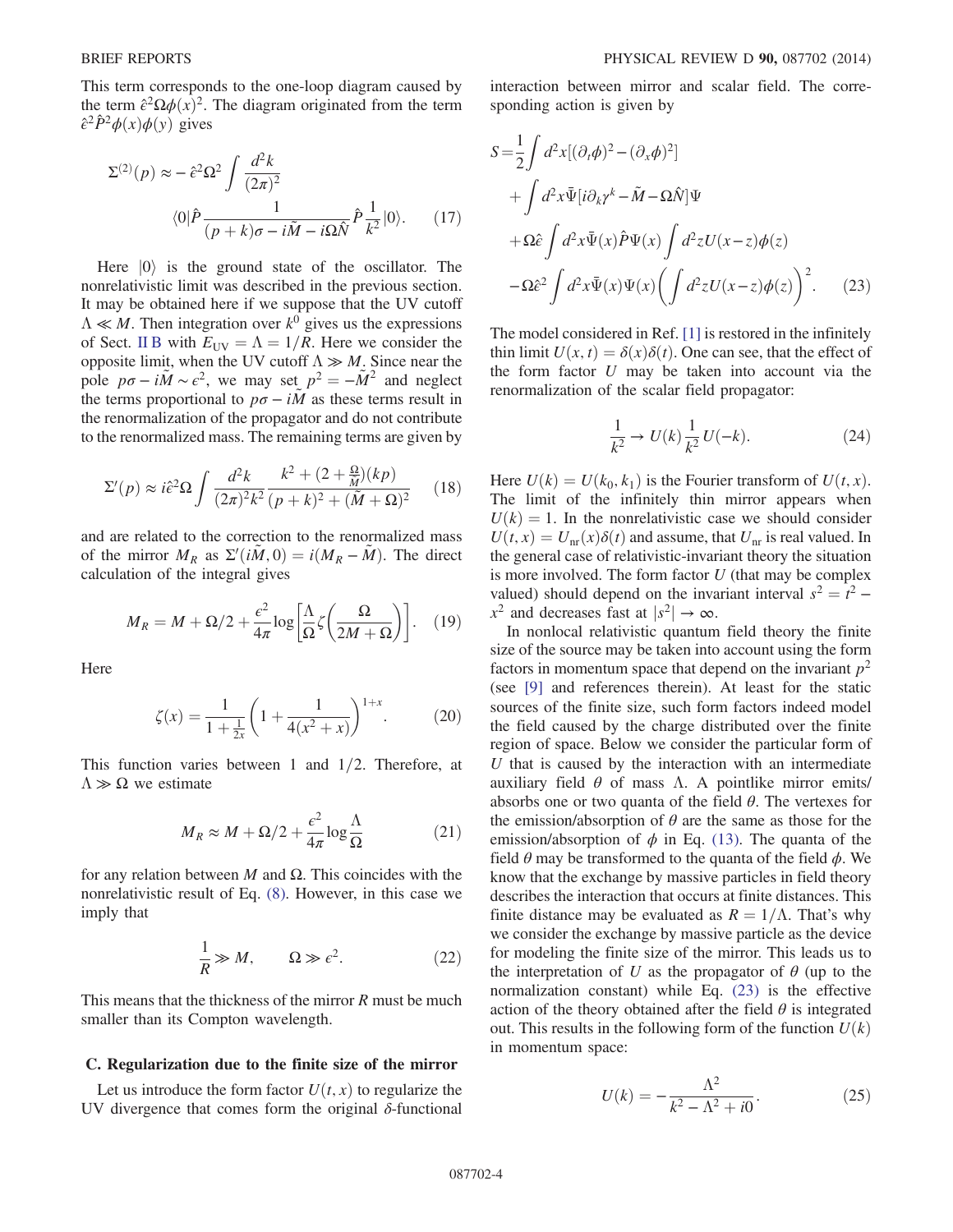This term corresponds to the one-loop diagram caused by the term  $\hat{\epsilon}^2 \Omega \phi(x)^2$ . The diagram originated from the term  $\hat{\epsilon}^2 \hat{P}^2 \phi(x) \phi(y)$  gives

$$
\Sigma^{(2)}(p) \approx -\hat{\epsilon}^2 \Omega^2 \int \frac{d^2 k}{(2\pi)^2} \langle 0|\hat{P}\frac{1}{(p+k)\sigma - i\tilde{M} - i\Omega \hat{N}}\hat{P}\frac{1}{k^2}|0\rangle. \tag{17}
$$

Here  $|0\rangle$  is the ground state of the oscillator. The nonrelativistic limit was described in the previous section. It may be obtained here if we suppose that the UV cutoff  $\Lambda \ll M$ . Then integration over  $k^0$  gives us the expressions of Sect. [II B](#page-2-6) with  $E_{UV} = \Lambda = 1/R$ . Here we consider the opposite limit, when the UV cutoff  $\Lambda \gg M$ . Since near the pole  $p\sigma - i\tilde{M} \sim \epsilon^2$ , we may set  $p^2 = -\tilde{M}^2$  and neglect the terms proportional to  $p\sigma - i\tilde{M}$  as these terms result in the renormalization of the propagator and do not contribute to the renormalized mass. The remaining terms are given by

$$
\Sigma'(p) \approx i\hat{\epsilon}^2 \Omega \int \frac{d^2k}{(2\pi)^2 k^2} \frac{k^2 + (2 + \frac{\Omega}{\tilde{M}})(kp)}{(p+k)^2 + (\tilde{M} + \Omega)^2} \tag{18}
$$

and are related to the correction to the renormalized mass of the mirror  $M_R$  as  $\Sigma'(i\tilde{M}, 0) = i(M_R - \tilde{M})$ . The direct calculation of the integral gives

$$
M_R = M + \Omega/2 + \frac{\epsilon^2}{4\pi} \log \left[ \frac{\Lambda}{\Omega} \zeta \left( \frac{\Omega}{2M + \Omega} \right) \right].
$$
 (19)

Here

$$
\zeta(x) = \frac{1}{1 + \frac{1}{2x}} \left( 1 + \frac{1}{4(x^2 + x)} \right)^{1+x} . \tag{20}
$$

This function varies between 1 and  $1/2$ . Therefore, at  $Λ \gg Ω$  we estimate

$$
M_R \approx M + \Omega/2 + \frac{\epsilon^2}{4\pi} \log \frac{\Lambda}{\Omega}
$$
 (21)

for any relation between M and  $\Omega$ . This coincides with the nonrelativistic result of Eq. [\(8\)](#page-2-5). However, in this case we imply that

$$
\frac{1}{R} \gg M, \qquad \Omega \gg \epsilon^2. \tag{22}
$$

This means that the thickness of the mirror  *must be much* smaller than its Compton wavelength.

#### C. Regularization due to the finite size of the mirror

Let us introduce the form factor  $U(t, x)$  to regularize the UV divergence that comes form the original  $\delta$ -functional <span id="page-4-0"></span>interaction between mirror and scalar field. The corresponding action is given by

$$
S = \frac{1}{2} \int d^2x [(\partial_t \phi)^2 - (\partial_x \phi)^2]
$$
  
+ 
$$
\int d^2x \bar{\Psi} [i \partial_k \gamma^k - \tilde{M} - \Omega \hat{N}] \Psi
$$
  
+ 
$$
\Omega \hat{\epsilon} \int d^2x \bar{\Psi}(x) \hat{P} \Psi(x) \int d^2z U(x - z) \phi(z)
$$
  
- 
$$
\Omega \hat{\epsilon}^2 \int d^2x \bar{\Psi}(x) \Psi(x) \left( \int d^2z U(x - z) \phi(z) \right)^2.
$$
 (23)

The model considered in Ref. [\[1\]](#page-5-0) is restored in the infinitely thin limit  $U(x, t) = \delta(x)\delta(t)$ . One can see, that the effect of the form factor  $U$  may be taken into account via the renormalization of the scalar field propagator:

$$
\frac{1}{k^2} \to U(k) \frac{1}{k^2} U(-k).
$$
 (24)

Here  $U(k) = U(k_0, k_1)$  is the Fourier transform of  $U(t, x)$ . The limit of the infinitely thin mirror appears when  $U(k) = 1$ . In the nonrelativistic case we should consider  $U(t, x) = U_{nr}(x)\delta(t)$  and assume, that  $U_{nr}$  is real valued. In the general case of relativistic-invariant theory the situation is more involved. The form factor  $U$  (that may be complex valued) should depend on the invariant interval  $s^2 = t^2$  –  $x^2$  and decreases fast at  $|s^2| \to \infty$ .

In nonlocal relativistic quantum field theory the finite size of the source may be taken into account using the form factors in momentum space that depend on the invariant  $p<sup>2</sup>$ (see [\[9\]](#page-5-8) and references therein). At least for the static sources of the finite size, such form factors indeed model the field caused by the charge distributed over the finite region of space. Below we consider the particular form of  $U$  that is caused by the interaction with an intermediate auxiliary field  $θ$  of mass  $Λ$ . A pointlike mirror emits/ absorbs one or two quanta of the field  $\theta$ . The vertexes for the emission/absorption of  $\theta$  are the same as those for the emission/absorption of  $\phi$  in Eq. [\(13\).](#page-3-2) The quanta of the field  $\theta$  may be transformed to the quanta of the field  $\phi$ . We know that the exchange by massive particles in field theory describes the interaction that occurs at finite distances. This finite distance may be evaluated as  $R = 1/\Lambda$ . That's why we consider the exchange by massive particle as the device for modeling the finite size of the mirror. This leads us to the interpretation of U as the propagator of  $\theta$  (up to the normalization constant) while Eq. [\(23\)](#page-4-0) is the effective action of the theory obtained after the field  $\theta$  is integrated out. This results in the following form of the function  $U(k)$ in momentum space:

$$
U(k) = -\frac{\Lambda^2}{k^2 - \Lambda^2 + i0}.
$$
 (25)